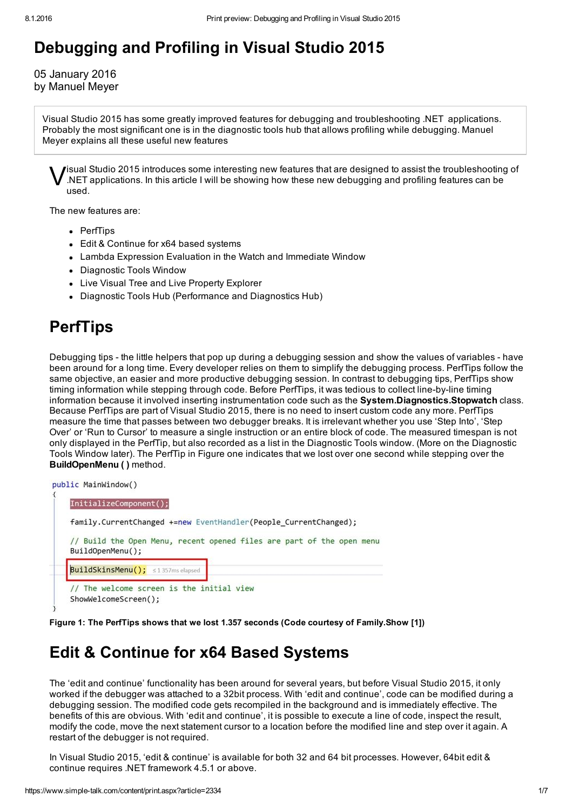# Debugging and Profiling in Visual Studio 2015

05 January 2016 by Manuel Meyer

Visual Studio 2015 has some greatly improved features for debugging and troubleshooting .NET applications. Probably the most significant one is in the diagnostic tools hub that allows profiling while debugging. Manuel Meyer explains all these useful new features

 $\bigvee$ isual Studio 2015 introduces some interesting new features that are designed to assist the troubleshooting of .NET applications. In this article I will be showing how these new debugging and profiling features can be used.

The new features are:

- PerfTips
- Edit & Continue for x64 based systems
- Lambda Expression Evaluation in the Watch and Immediate Window
- Diagnostic Tools Window
- Live Visual Tree and Live Property Explorer
- Diagnostic Tools Hub (Performance and Diagnostics Hub)

#### **PerfTips**

Debugging tips - the little helpers that pop up during a debugging session and show the values of variables - have been around for a long time. Every developer relies on them to simplify the debugging process. PerfTips follow the same objective, an easier and more productive debugging session. In contrast to debugging tips, PerfTips show timing information while stepping through code. Before PerfTips, it was tedious to collect line-by-line timing information because it involved inserting instrumentation code such as the System.Diagnostics.Stopwatch class. Because PerfTips are part of Visual Studio 2015, there is no need to insert custom code any more. PerfTips measure the time that passes between two debugger breaks. It is irrelevant whether you use 'Step Into', 'Step Over' or 'Run to Cursor' to measure a single instruction or an entire block of code. The measured timespan is not only displayed in the PerfTip, but also recorded as a list in the Diagnostic Tools window. (More on the Diagnostic Tools Window later). The PerfTip in Figure one indicates that we lost over one second while stepping over the BuildOpenMenu ( ) method.

```
public MainWindow()
```

```
InitializeComponent();
family.CurrentChanged +=new EventHandler(People CurrentChanged);
// Build the Open Menu, recent opened files are part of the open menu
BuildOpenMenu();
BuildSkinsMenu(); s1357ms elapsed
// The welcome screen is the initial view
ShowWelcomeScreen();
```
Figure 1: The PerfTips shows that we lost 1.357 seconds (Code courtesy of Family.Show [1])

#### Edit & Continue for x64 Based Systems

The 'edit and continue' functionality has been around for several years, but before Visual Studio 2015, it only worked if the debugger was attached to a 32bit process. With 'edit and continue', code can be modified during a debugging session. The modified code gets recompiled in the background and is immediately effective. The benefits of this are obvious. With 'edit and continue', it is possible to execute a line of code, inspect the result, modify the code, move the next statement cursor to a location before the modified line and step over it again. A restart of the debugger is not required.

In Visual Studio 2015, 'edit & continue' is available for both 32 and 64 bit processes. However, 64bit edit & continue requires .NET framework 4.5.1 or above.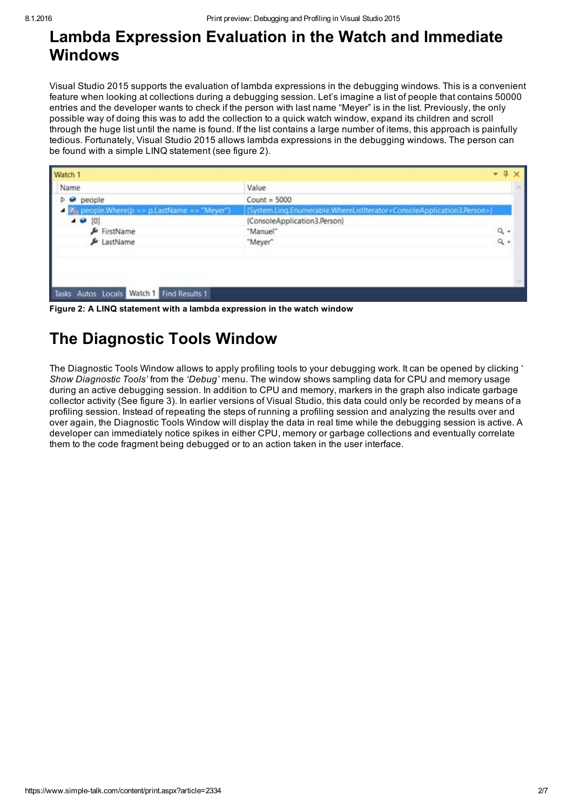#### Lambda Expression Evaluation in the Watch and Immediate Windows

Visual Studio 2015 supports the evaluation of lambda expressions in the debugging windows. This is a convenient feature when looking at collections during a debugging session. Let's imagine a list of people that contains 50000 entries and the developer wants to check if the person with last name "Meyer" is in the list. Previously, the only possible way of doing this was to add the collection to a quick watch window, expand its children and scroll through the huge list until the name is found. If the list contains a large number of items, this approach is painfully tedious. Fortunately, Visual Studio 2015 allows lambda expressions in the debugging windows. The person can be found with a simple LINQ statement (see figure 2).

| Watch 1                                         |                                                                                                      |       |  |
|-------------------------------------------------|------------------------------------------------------------------------------------------------------|-------|--|
| Name                                            | Value                                                                                                |       |  |
| people                                          | Count = $5000$                                                                                       |       |  |
| Shi people.Where(p => p.LastName == "Meyer")    | {System.Ling.Enumerable.WhereListIterator <consoleapplication3.person>}</consoleapplication3.person> |       |  |
| $\overline{10}$<br>[0]                          | {ConsoleApplication3.Person}                                                                         |       |  |
| FirstName                                       | "Manuel"                                                                                             | $Q +$ |  |
| LastName                                        | "Meyer"                                                                                              | ٩.    |  |
|                                                 |                                                                                                      |       |  |
|                                                 |                                                                                                      |       |  |
| Watch 1 Find Results 1<br>Autos Locals<br>Tasks |                                                                                                      |       |  |

Figure 2: A LINQ statement with a lambda expression in the watch window

# The Diagnostic Tools Window

The Diagnostic Tools Window allows to apply profiling tools to your debugging work. It can be opened by clicking ' *Show Diagnostic Tools'* from the *'Debug'* menu. The window shows sampling data for CPU and memory usage during an active debugging session. In addition to CPU and memory, markers in the graph also indicate garbage collector activity (See figure 3). In earlier versions of Visual Studio, this data could only be recorded by means of a profiling session. Instead of repeating the steps of running a profiling session and analyzing the results over and over again, the Diagnostic Tools Window will display the data in real time while the debugging session is active. A developer can immediately notice spikes in either CPU, memory or garbage collections and eventually correlate them to the code fragment being debugged or to an action taken in the user interface.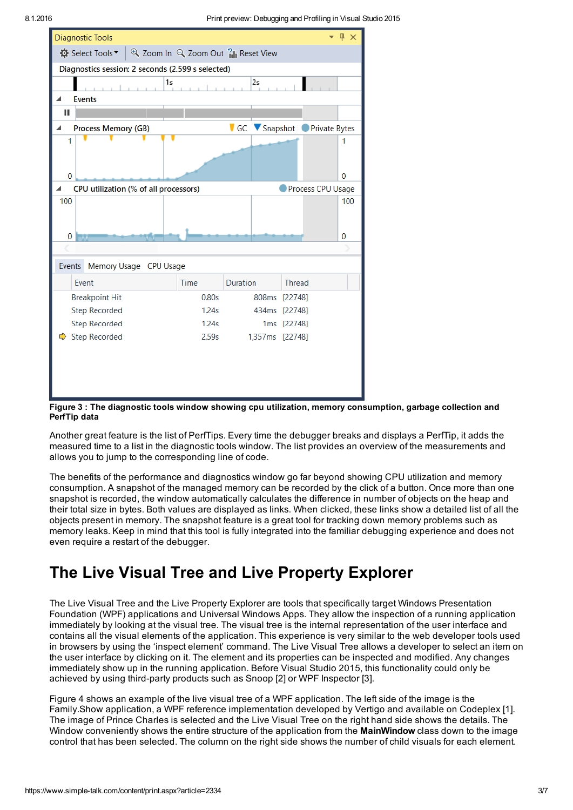

Figure 3 : The diagnostic tools window showing cpu utilization, memory consumption, garbage collection and PerfTip data

Another great feature is the list of PerfTips. Every time the debugger breaks and displays a PerfTip, it adds the measured time to a list in the diagnostic tools window. The list provides an overview of the measurements and allows you to jump to the corresponding line of code.

The benefits of the performance and diagnostics window go far beyond showing CPU utilization and memory consumption. A snapshot of the managed memory can be recorded by the click of a button. Once more than one snapshot is recorded, the window automatically calculates the difference in number of objects on the heap and their total size in bytes. Both values are displayed as links. When clicked, these links show a detailed list of all the objects present in memory. The snapshot feature is a great tool for tracking down memory problems such as memory leaks. Keep in mind that this tool is fully integrated into the familiar debugging experience and does not even require a restart of the debugger.

# The Live Visual Tree and Live Property Explorer

The Live Visual Tree and the Live Property Explorer are tools that specifically target Windows Presentation Foundation (WPF) applications and Universal Windows Apps. They allow the inspection of a running application immediately by looking at the visual tree. The visual tree is the internal representation of the user interface and contains all the visual elements of the application. This experience is very similar to the web developer tools used in browsers by using the 'inspect element' command. The Live Visual Tree allows a developer to select an item on the user interface by clicking on it. The element and its properties can be inspected and modified. Any changes immediately show up in the running application. Before Visual Studio 2015, this functionality could only be achieved by using third-party products such as Snoop [2] or WPF Inspector [3].

Figure 4 shows an example of the live visual tree of a WPF application. The left side of the image is the Family.Show application, a WPF reference implementation developed by Vertigo and available on Codeplex [1]. The image of Prince Charles is selected and the Live Visual Tree on the right hand side shows the details. The Window conveniently shows the entire structure of the application from the **MainWindow** class down to the image control that has been selected. The column on the right side shows the number of child visuals for each element.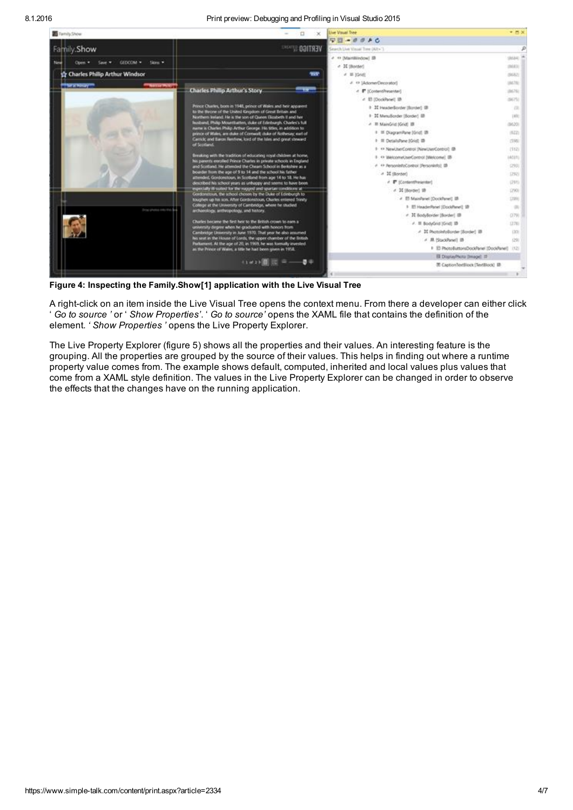

Figure 4: Inspecting the Family.Show[1] application with the Live Visual Tree

A right-click on an item inside the Live Visual Tree opens the context menu. From there a developer can either click ' *Go to source '* or ' *Show Properties'*. ' *Go to source'* opens the XAML file that contains the definition of the element. *' Show Properties '* opens the Live Property Explorer.

The Live Property Explorer (figure 5) shows all the properties and their values. An interesting feature is the grouping. All the properties are grouped by the source of their values. This helps in finding out where a runtime property value comes from. The example shows default, computed, inherited and local values plus values that come from a XAML style definition. The values in the Live Property Explorer can be changed in order to observe the effects that the changes have on the running application.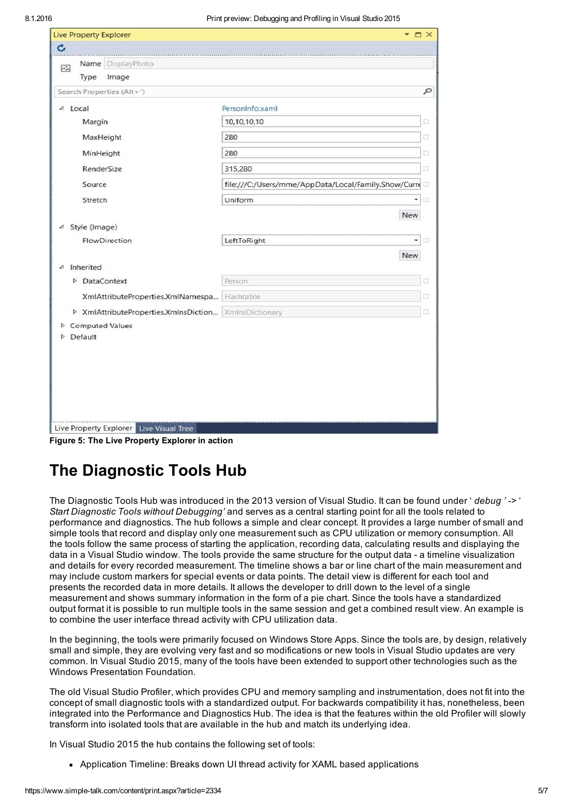| <b>Live Property Explorer</b> | $ \Box$ $\times$                                                                  |                                                                                                             |  |  |
|-------------------------------|-----------------------------------------------------------------------------------|-------------------------------------------------------------------------------------------------------------|--|--|
|                               |                                                                                   |                                                                                                             |  |  |
|                               |                                                                                   |                                                                                                             |  |  |
| Type                          |                                                                                   |                                                                                                             |  |  |
|                               |                                                                                   | ٩                                                                                                           |  |  |
| △ Local                       | PersonInfo.xaml                                                                   |                                                                                                             |  |  |
| Margin                        | 10,10,10,10                                                                       | a                                                                                                           |  |  |
| MaxHeight                     | 280                                                                               |                                                                                                             |  |  |
| MinHeight                     | 280                                                                               |                                                                                                             |  |  |
| RenderSize                    | 315,280                                                                           |                                                                                                             |  |  |
| Source                        | file:///C:/Users/mme/AppData/Local/Family.Show/Curre                              |                                                                                                             |  |  |
| Stretch                       | Uniform<br>٠                                                                      | O                                                                                                           |  |  |
|                               |                                                                                   |                                                                                                             |  |  |
| △ Style (Image)               |                                                                                   |                                                                                                             |  |  |
| FlowDirection                 | LeftToRight<br>۰                                                                  | o                                                                                                           |  |  |
|                               | New                                                                               |                                                                                                             |  |  |
| Inherited                     |                                                                                   |                                                                                                             |  |  |
| D DataContext                 | Person                                                                            |                                                                                                             |  |  |
|                               |                                                                                   |                                                                                                             |  |  |
|                               |                                                                                   |                                                                                                             |  |  |
|                               | Name DisplayPhoto<br>Image<br>Search Properties (Alt+")<br><b>Computed Values</b> | New<br>XmlAttributeProperties.XmlNamespa Hashtable<br>D XmlAttributeProperties.XmlnsDiction XmlnsDictionary |  |  |

Figure 5: The Live Property Explorer in action

# The Diagnostic Tools Hub

The Diagnostic Tools Hub was introduced in the 2013 version of Visual Studio. It can be found under ' *debug '* > ' *Start Diagnostic Tools without Debugging'* and serves as a central starting point for all the tools related to performance and diagnostics. The hub follows a simple and clear concept. It provides a large number of small and simple tools that record and display only one measurement such as CPU utilization or memory consumption. All the tools follow the same process of starting the application, recording data, calculating results and displaying the data in a Visual Studio window. The tools provide the same structure for the output data - a timeline visualization and details for every recorded measurement. The timeline shows a bar or line chart of the main measurement and may include custom markers for special events or data points. The detail view is different for each tool and presents the recorded data in more details. It allows the developer to drill down to the level of a single measurement and shows summary information in the form of a pie chart. Since the tools have a standardized output format it is possible to run multiple tools in the same session and get a combined result view. An example is to combine the user interface thread activity with CPU utilization data.

In the beginning, the tools were primarily focused on Windows Store Apps. Since the tools are, by design, relatively small and simple, they are evolving very fast and so modifications or new tools in Visual Studio updates are very common. In Visual Studio 2015, many of the tools have been extended to support other technologies such as the Windows Presentation Foundation.

The old Visual Studio Profiler, which provides CPU and memory sampling and instrumentation, does not fit into the concept of small diagnostic tools with a standardized output. For backwards compatibility it has, nonetheless, been integrated into the Performance and Diagnostics Hub. The idea is that the features within the old Profiler will slowly transform into isolated tools that are available in the hub and match its underlying idea.

In Visual Studio 2015 the hub contains the following set of tools:

Application Timeline: Breaks down UI thread activity for XAML based applications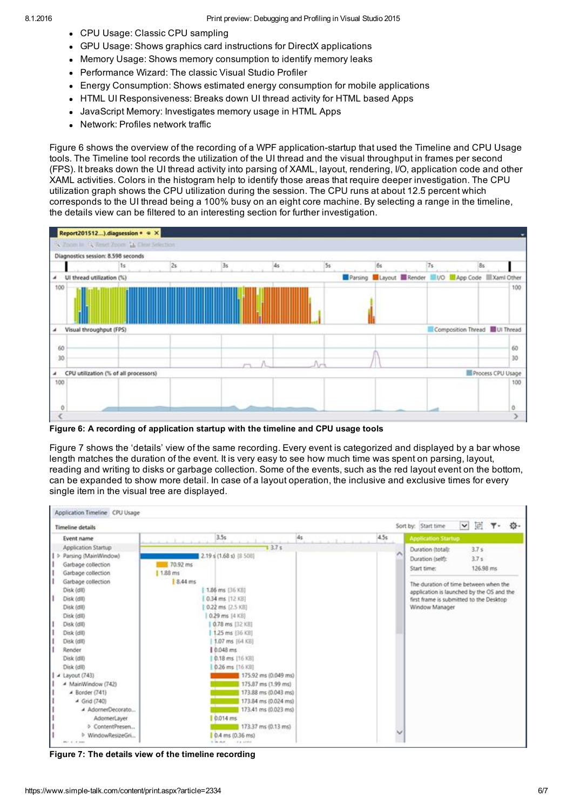- CPU Usage: Classic CPU sampling
- GPU Usage: Shows graphics card instructions for DirectX applications
- Memory Usage: Shows memory consumption to identify memory leaks  $\bullet$
- Performance Wizard: The classic Visual Studio Profiler
- Energy Consumption: Shows estimated energy consumption for mobile applications
- HTML UI Responsiveness: Breaks down UI thread activity for HTML based Apps
- JavaScript Memory: Investigates memory usage in HTML Apps
- Network: Profiles network traffic

Figure 6 shows the overview of the recording of a WPF application-startup that used the Timeline and CPU Usage tools. The Timeline tool records the utilization of the UI thread and the visual throughput in frames per second (FPS). It breaks down the UI thread activity into parsing of XAML, layout, rendering, I/O, application code and other XAML activities. Colors in the histogram help to identify those areas that require deeper investigation. The CPU utilization graph shows the CPU utilization during the session. The CPU runs at about 12.5 percent which corresponds to the UI thread being a 100% busy on an eight core machine. By selecting a range in the timeline, the details view can be filtered to an interesting section for further investigation.



Figure 6: A recording of application startup with the timeline and CPU usage tools

Figure 7 shows the 'details' view of the same recording. Every event is categorized and displayed by a bar whose length matches the duration of the event. It is very easy to see how much time was spent on parsing, layout, reading and writing to disks or garbage collection. Some of the events, such as the red layout event on the bottom, can be expanded to show more detail. In case of a layout operation, the inclusive and exclusive times for every single item in the visual tree are displayed.

| 3.5s<br>4.5s<br>4 <sub>5</sub><br><b>Event name</b><br>13.7s<br>Application Startup<br>2.19 s (1.68 s) [8 508]<br>> Parsing (MainWindow)<br>70.92 ms<br>Garbage collection<br>  1.88 ms<br>Garbage collection<br>Garbage collection<br>8.44 ms<br>Disk (dll)<br>1.86 ms (36 KB)<br>0.34 ms. [12 KB]<br>Disk (dll)<br>Disk (dll)<br>0.22 ms (2.5 KB)<br>Disk (dll)<br>0.29 ms (4 KB)<br>Disk (dll)<br>0.78 ms [32 KB]<br>Disk (dll)<br>1.25 ms (36 KB)<br>Disk (dll)<br>1.07 ms [64 KB]<br>0.048 ms<br>Render<br>Disk (dll)<br>$0.18$ ms $[16$ KB]<br>Disk (dll)<br>0.26 ms [16 KB]<br>175.92 ms (0.049 ms)<br>$\triangle$ Layout (743)<br>- MainWindow (742)<br>175.87 ms (1.99 ms)<br>173.88 ms (0.043 ms)<br>4 Border (741)<br>$\triangleq$ Grid (740)<br>173.84 ms (0.024 ms)<br>AdornerDecorato<br>173.41 ms (0.023 ms)<br>0.014 ms<br>AdomerLayer | Sort by: Start time                       | 園<br>$\checkmark$ | 〒- 登- |
|--------------------------------------------------------------------------------------------------------------------------------------------------------------------------------------------------------------------------------------------------------------------------------------------------------------------------------------------------------------------------------------------------------------------------------------------------------------------------------------------------------------------------------------------------------------------------------------------------------------------------------------------------------------------------------------------------------------------------------------------------------------------------------------------------------------------------------------------------------|-------------------------------------------|-------------------|-------|
|                                                                                                                                                                                                                                                                                                                                                                                                                                                                                                                                                                                                                                                                                                                                                                                                                                                        | <b>Application Startup</b>                |                   |       |
|                                                                                                                                                                                                                                                                                                                                                                                                                                                                                                                                                                                                                                                                                                                                                                                                                                                        | Duration (total):                         | 3.7s              |       |
|                                                                                                                                                                                                                                                                                                                                                                                                                                                                                                                                                                                                                                                                                                                                                                                                                                                        | Duration (self):                          | 3.7 s             |       |
|                                                                                                                                                                                                                                                                                                                                                                                                                                                                                                                                                                                                                                                                                                                                                                                                                                                        | Start time:                               | 126.98 ms         |       |
|                                                                                                                                                                                                                                                                                                                                                                                                                                                                                                                                                                                                                                                                                                                                                                                                                                                        |                                           |                   |       |
|                                                                                                                                                                                                                                                                                                                                                                                                                                                                                                                                                                                                                                                                                                                                                                                                                                                        | The duration of time between when the     |                   |       |
|                                                                                                                                                                                                                                                                                                                                                                                                                                                                                                                                                                                                                                                                                                                                                                                                                                                        | application is launched by the OS and the |                   |       |
|                                                                                                                                                                                                                                                                                                                                                                                                                                                                                                                                                                                                                                                                                                                                                                                                                                                        | first frame is submitted to the Desktop   |                   |       |
|                                                                                                                                                                                                                                                                                                                                                                                                                                                                                                                                                                                                                                                                                                                                                                                                                                                        | Window Manager                            |                   |       |
|                                                                                                                                                                                                                                                                                                                                                                                                                                                                                                                                                                                                                                                                                                                                                                                                                                                        |                                           |                   |       |
|                                                                                                                                                                                                                                                                                                                                                                                                                                                                                                                                                                                                                                                                                                                                                                                                                                                        |                                           |                   |       |
|                                                                                                                                                                                                                                                                                                                                                                                                                                                                                                                                                                                                                                                                                                                                                                                                                                                        |                                           |                   |       |
|                                                                                                                                                                                                                                                                                                                                                                                                                                                                                                                                                                                                                                                                                                                                                                                                                                                        |                                           |                   |       |
|                                                                                                                                                                                                                                                                                                                                                                                                                                                                                                                                                                                                                                                                                                                                                                                                                                                        |                                           |                   |       |
|                                                                                                                                                                                                                                                                                                                                                                                                                                                                                                                                                                                                                                                                                                                                                                                                                                                        |                                           |                   |       |
|                                                                                                                                                                                                                                                                                                                                                                                                                                                                                                                                                                                                                                                                                                                                                                                                                                                        |                                           |                   |       |
|                                                                                                                                                                                                                                                                                                                                                                                                                                                                                                                                                                                                                                                                                                                                                                                                                                                        |                                           |                   |       |
|                                                                                                                                                                                                                                                                                                                                                                                                                                                                                                                                                                                                                                                                                                                                                                                                                                                        |                                           |                   |       |
|                                                                                                                                                                                                                                                                                                                                                                                                                                                                                                                                                                                                                                                                                                                                                                                                                                                        |                                           |                   |       |
|                                                                                                                                                                                                                                                                                                                                                                                                                                                                                                                                                                                                                                                                                                                                                                                                                                                        |                                           |                   |       |
|                                                                                                                                                                                                                                                                                                                                                                                                                                                                                                                                                                                                                                                                                                                                                                                                                                                        |                                           |                   |       |
|                                                                                                                                                                                                                                                                                                                                                                                                                                                                                                                                                                                                                                                                                                                                                                                                                                                        |                                           |                   |       |
| > ContentPresen<br>173.37 ms (0.13 ms)                                                                                                                                                                                                                                                                                                                                                                                                                                                                                                                                                                                                                                                                                                                                                                                                                 |                                           |                   |       |
| 0.4 ms (0.36 ms)<br><sup>b</sup> WindowResizeGri                                                                                                                                                                                                                                                                                                                                                                                                                                                                                                                                                                                                                                                                                                                                                                                                       |                                           |                   |       |

Figure 7: The details view of the timeline recording